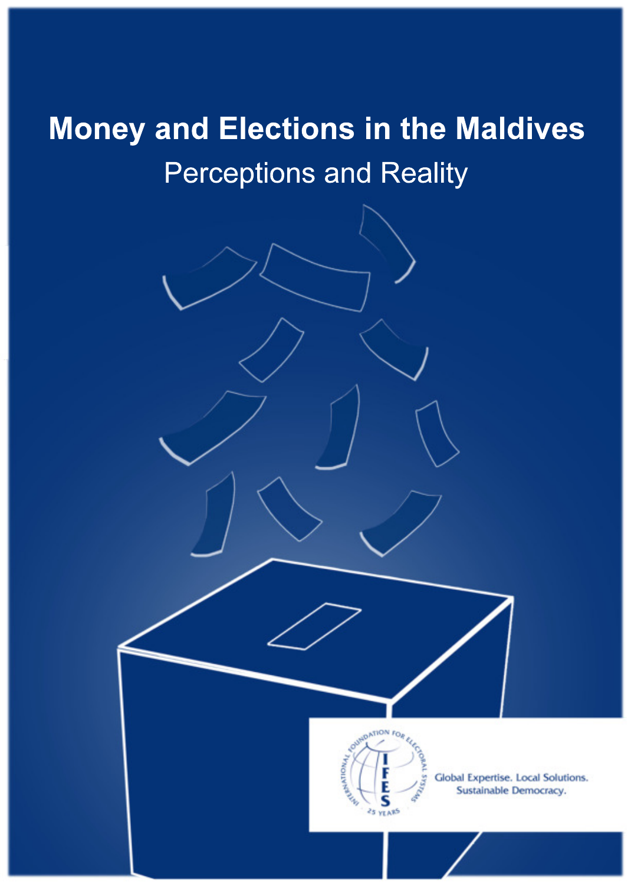# Money and Elections in the Maldives **Perceptions and Reality**



Global Expertise. Local Solutions. Sustainable Democracy.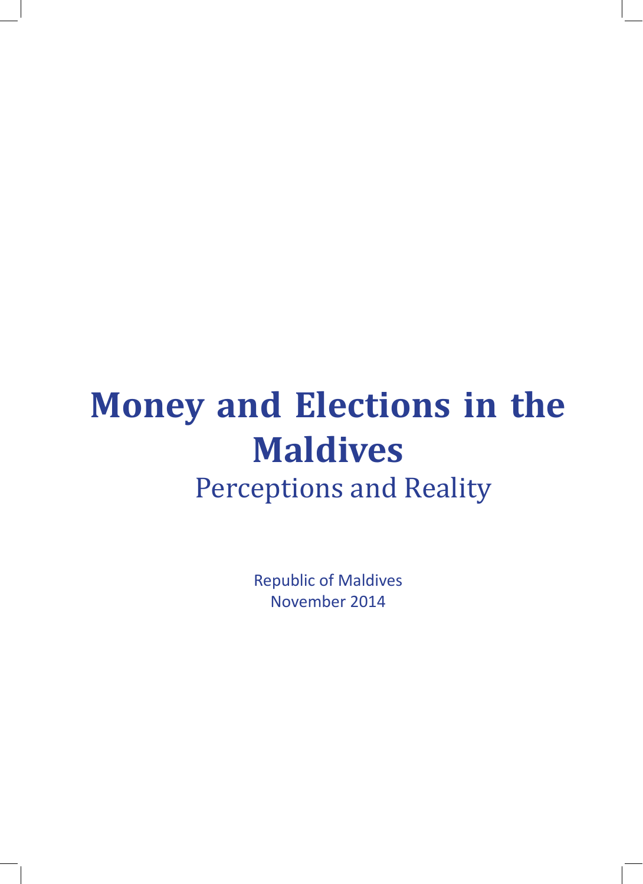# **Money and Elections in the Maldives Perceptions and Reality**

Republic of Maldives November 2014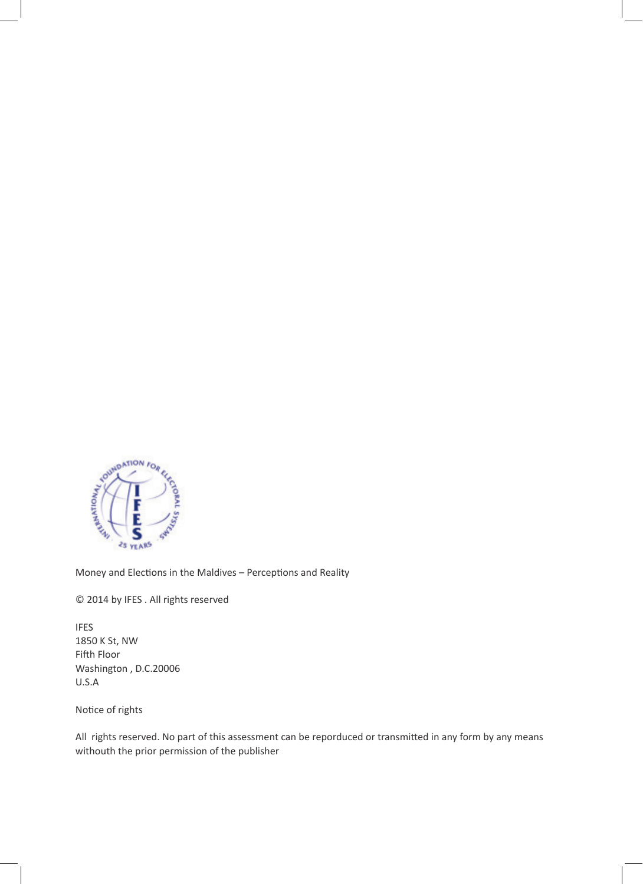

Money and Elections in the Maldives – Perceptions and Reality

© 2014 by IFES . All rights reserved

IFES 1850 K St, NW Fifth Floor Washington , D.C.20006 U.S.A

Notice of rights

All rights reserved. No part of this assessment can be reporduced or transmitted in any form by any means withouth the prior permission of the publisher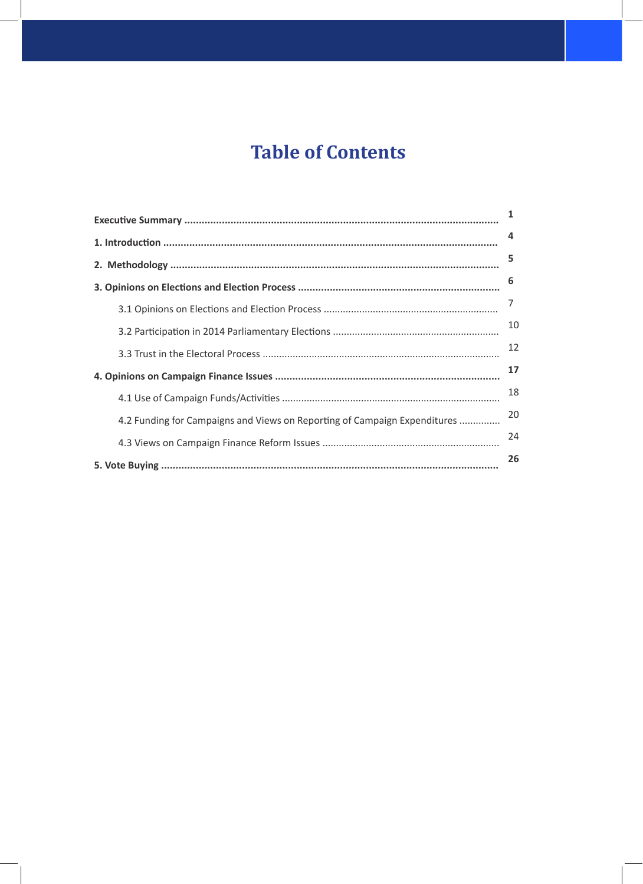## **Table of Contents**

|                                                                           | 1  |
|---------------------------------------------------------------------------|----|
|                                                                           | 4  |
|                                                                           | 5  |
|                                                                           | 6  |
|                                                                           | 7  |
|                                                                           | 10 |
|                                                                           | 12 |
|                                                                           | 17 |
|                                                                           | 18 |
| 4.2 Funding for Campaigns and Views on Reporting of Campaign Expenditures | 20 |
|                                                                           | 24 |
|                                                                           | 26 |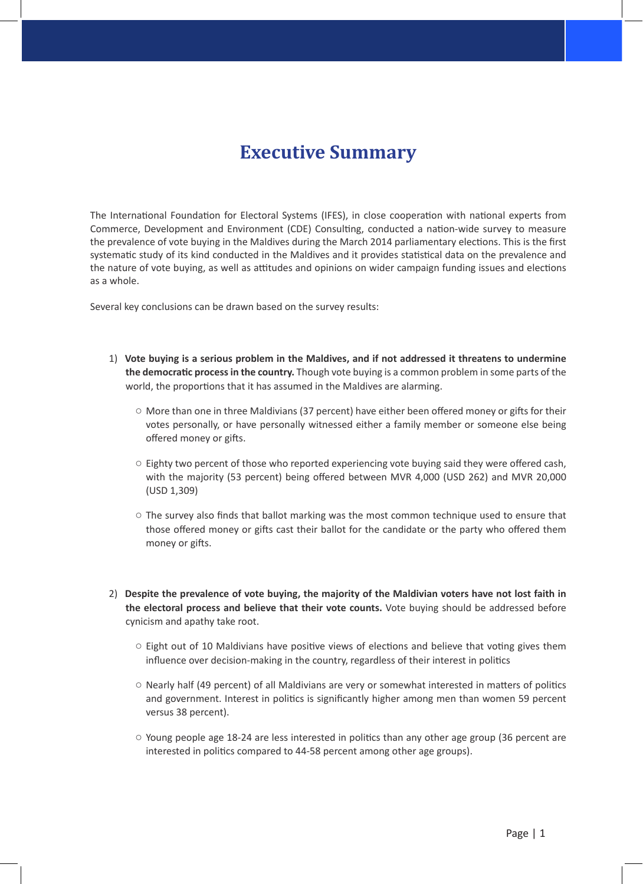### **Executive Summary**

The International Foundation for Electoral Systems (IFES), in close cooperation with national experts from Commerce, Development and Environment (CDE) Consulting, conducted a nation-wide survey to measure the prevalence of vote buying in the Maldives during the March 2014 parliamentary elections. This is the first systematic study of its kind conducted in the Maldives and it provides statistical data on the prevalence and the nature of vote buying, as well as attitudes and opinions on wider campaign funding issues and elections as a whole.

Several key conclusions can be drawn based on the survey results:

- 1) **Vote buying is a serious problem in the Maldives, and if not addressed it threatens to undermine the democratic process in the country.** Though vote buying is a common problem in some parts of the world, the proportions that it has assumed in the Maldives are alarming.
	- More than one in three Maldivians (37 percent) have either been offered money or gifts for their votes personally, or have personally witnessed either a family member or someone else being offered money or gifts.
	- $\circ$  Eighty two percent of those who reported experiencing vote buying said they were offered cash, with the majority (53 percent) being offered between MVR 4,000 (USD 262) and MVR 20,000 (USD 1,309)
	- $\circ$  The survey also finds that ballot marking was the most common technique used to ensure that those offered money or gifts cast their ballot for the candidate or the party who offered them money or gifts.
- 2) **Despite the prevalence of vote buying, the majority of the Maldivian voters have not lost faith in the electoral process and believe that their vote counts.** Vote buying should be addressed before cynicism and apathy take root.
	- Eight out of 10 Maldivians have positive views of elections and believe that voting gives them influence over decision-making in the country, regardless of their interest in politics
	- Nearly half (49 percent) of all Maldivians are very or somewhat interested in matters of politics and government. Interest in politics is significantly higher among men than women 59 percent versus 38 percent).
	- Young people age 18-24 are less interested in politics than any other age group (36 percent are interested in politics compared to 44-58 percent among other age groups).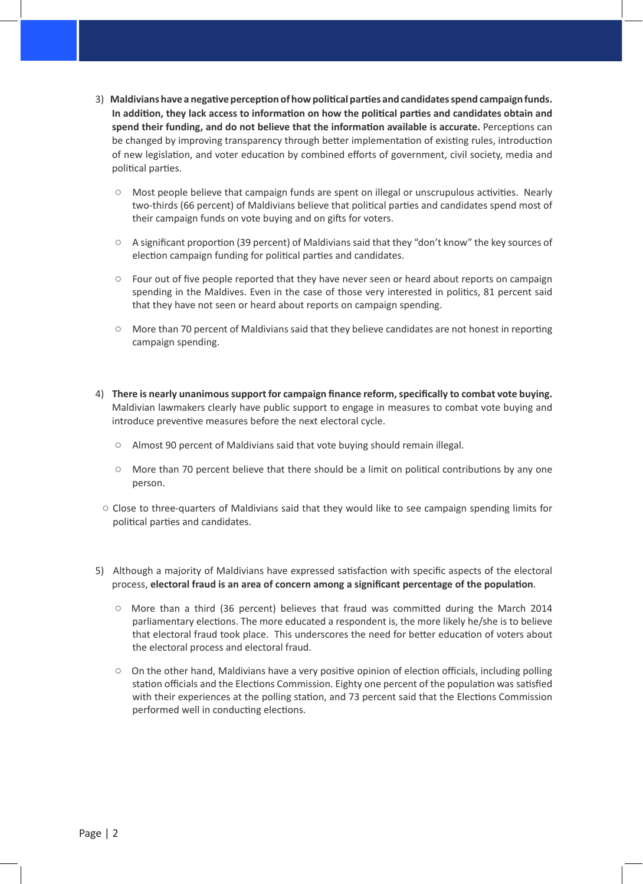- 3) **Maldivians have a negative perception of how political parties and candidates spend campaign funds. In addition, they lack access to information on how the political parties and candidates obtain and spend their funding, and do not believe that the information available is accurate.** Perceptions can be changed by improving transparency through better implementation of existing rules, introduction of new legislation, and voter education by combined efforts of government, civil society, media and political parties.
	- Most people believe that campaign funds are spent on illegal or unscrupulous activities. Nearly two-thirds (66 percent) of Maldivians believe that political parties and candidates spend most of their campaign funds on vote buying and on gifts for voters.
	- A significant proportion (39 percent) of Maldivians said that they "don't know" the key sources of election campaign funding for political parties and candidates.
	- Four out of five people reported that they have never seen or heard about reports on campaign spending in the Maldives. Even in the case of those very interested in politics, 81 percent said that they have not seen or heard about reports on campaign spending.
	- More than 70 percent of Maldivians said that they believe candidates are not honest in reporting campaign spending.
- 4) **There is nearly unanimous support for campaign finance reform, specifically to combat vote buying.** Maldivian lawmakers clearly have public support to engage in measures to combat vote buying and introduce preventive measures before the next electoral cycle.
	- Almost 90 percent of Maldivians said that vote buying should remain illegal.
	- More than 70 percent believe that there should be a limit on political contributions by any one person.
- Close to three-quarters of Maldivians said that they would like to see campaign spending limits for political parties and candidates.
- 5) Although a majority of Maldivians have expressed satisfaction with specific aspects of the electoral process, **electoral fraud is an area of concern among a significant percentage of the population**.
	- More than a third (36 percent) believes that fraud was committed during the March 2014 parliamentary elections. The more educated a respondent is, the more likely he/she is to believe that electoral fraud took place. This underscores the need for better education of voters about the electoral process and electoral fraud.
	- On the other hand, Maldivians have a very positive opinion of election officials, including polling station officials and the Elections Commission. Eighty one percent of the population was satisfied with their experiences at the polling station, and 73 percent said that the Elections Commission performed well in conducting elections.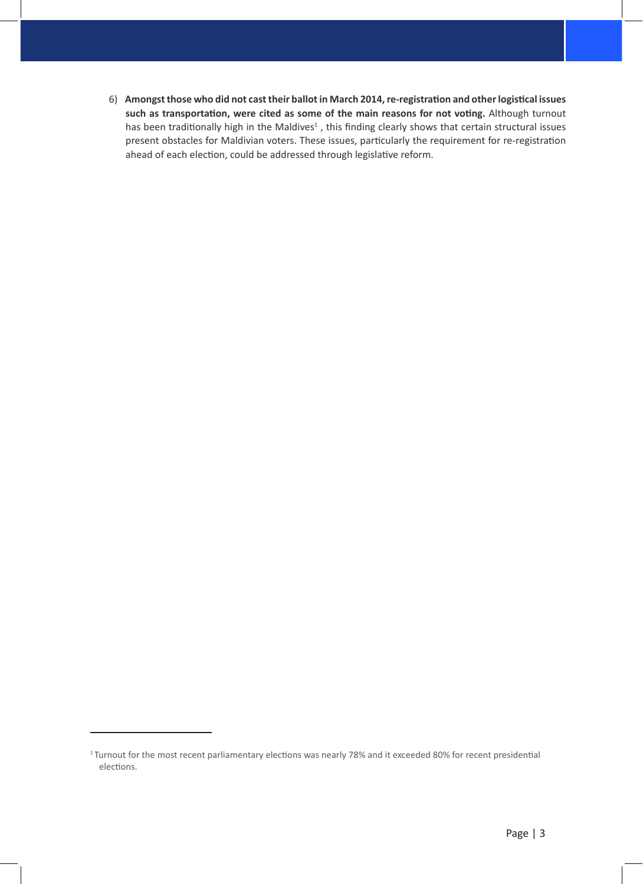6) **Amongst those who did not cast their ballot in March 2014, re-registration and other logistical issues such as transportation, were cited as some of the main reasons for not voting.** Although turnout has been traditionally high in the Maldives<sup>1</sup>, this finding clearly shows that certain structural issues present obstacles for Maldivian voters. These issues, particularly the requirement for re-registration ahead of each election, could be addressed through legislative reform.

<sup>&</sup>lt;sup>1</sup>Turnout for the most recent parliamentary elections was nearly 78% and it exceeded 80% for recent presidential elections.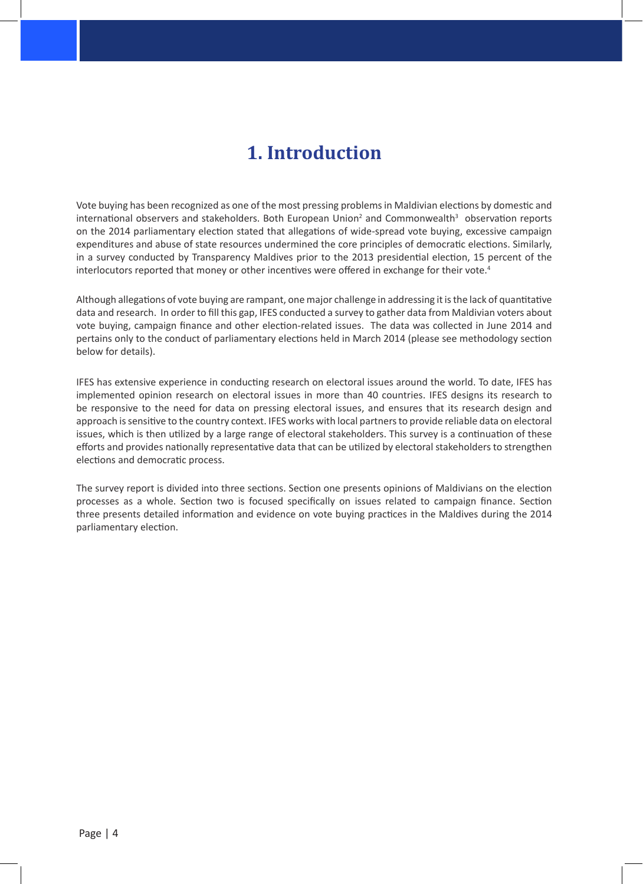## **1. Introduction**

Vote buying has been recognized as one of the most pressing problems in Maldivian elections by domestic and international observers and stakeholders. Both European Union<sup>2</sup> and Commonwealth<sup>3</sup> observation reports on the 2014 parliamentary election stated that allegations of wide-spread vote buying, excessive campaign expenditures and abuse of state resources undermined the core principles of democratic elections. Similarly, in a survey conducted by Transparency Maldives prior to the 2013 presidential election, 15 percent of the interlocutors reported that money or other incentives were offered in exchange for their vote.<sup>4</sup>

Although allegations of vote buying are rampant, one major challenge in addressing it is the lack of quantitative data and research. In order to fill this gap, IFES conducted a survey to gather data from Maldivian voters about vote buying, campaign finance and other election-related issues. The data was collected in June 2014 and pertains only to the conduct of parliamentary elections held in March 2014 (please see methodology section below for details).

IFES has extensive experience in conducting research on electoral issues around the world. To date, IFES has implemented opinion research on electoral issues in more than 40 countries. IFES designs its research to be responsive to the need for data on pressing electoral issues, and ensures that its research design and approach is sensitive to the country context. IFES works with local partners to provide reliable data on electoral issues, which is then utilized by a large range of electoral stakeholders. This survey is a continuation of these efforts and provides nationally representative data that can be utilized by electoral stakeholders to strengthen elections and democratic process.

The survey report is divided into three sections. Section one presents opinions of Maldivians on the election processes as a whole. Section two is focused specifically on issues related to campaign finance. Section three presents detailed information and evidence on vote buying practices in the Maldives during the 2014 parliamentary election.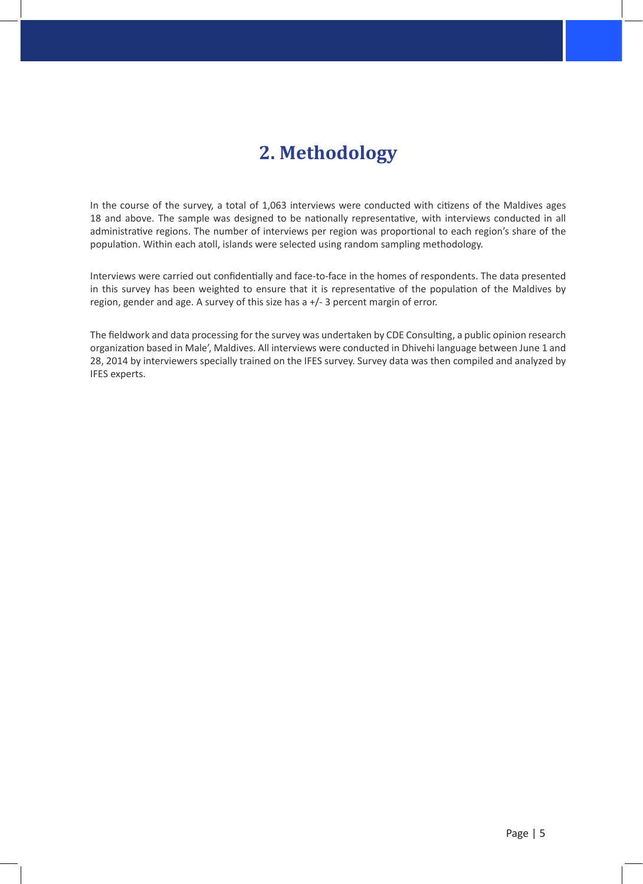## **2. Methodology**

In the course of the survey, a total of 1,063 interviews were conducted with citizens of the Maldives ages 18 and above. The sample was designed to be nationally representative, with interviews conducted in all administrative regions. The number of interviews per region was proportional to each region's share of the population. Within each atoll, islands were selected using random sampling methodology.

Interviews were carried out confidentially and face-to-face in the homes of respondents. The data presented in this survey has been weighted to ensure that it is representative of the population of the Maldives by region, gender and age. A survey of this size has a +/- 3 percent margin of error.

The fieldwork and data processing for the survey was undertaken by CDE Consulting, a public opinion research organization based in Male', Maldives. All interviews were conducted in Dhivehi language between June 1 and 28, 2014 by interviewers specially trained on the IFES survey. Survey data was then compiled and analyzed by IFES experts.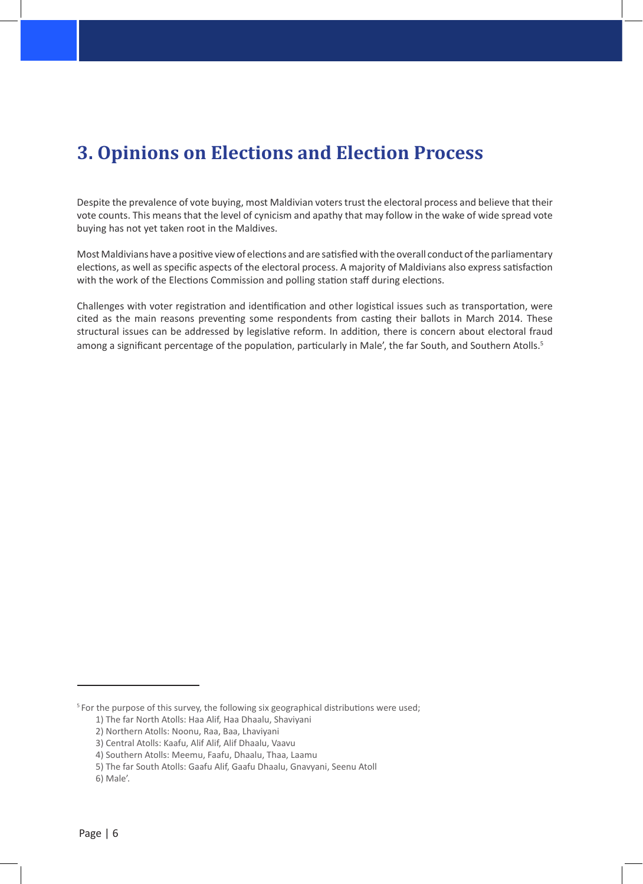## **3. Opinions on Elections and Election Process**

Despite the prevalence of vote buying, most Maldivian voters trust the electoral process and believe that their vote counts. This means that the level of cynicism and apathy that may follow in the wake of wide spread vote buying has not yet taken root in the Maldives.

Most Maldivians have a positive view of elections and are satisfied with the overall conduct of the parliamentary elections, as well as specific aspects of the electoral process. A majority of Maldivians also express satisfaction with the work of the Elections Commission and polling station staff during elections.

Challenges with voter registration and identification and other logistical issues such as transportation, were cited as the main reasons preventing some respondents from casting their ballots in March 2014. These structural issues can be addressed by legislative reform. In addition, there is concern about electoral fraud among a significant percentage of the population, particularly in Male', the far South, and Southern Atolls.<sup>5</sup>

<sup>&</sup>lt;sup>5</sup> For the purpose of this survey, the following six geographical distributions were used;

<sup>1)</sup> The far North Atolls: Haa Alif, Haa Dhaalu, Shaviyani

<sup>2)</sup> Northern Atolls: Noonu, Raa, Baa, Lhaviyani

<sup>3)</sup> Central Atolls: Kaafu, Alif Alif, Alif Dhaalu, Vaavu

<sup>4)</sup> Southern Atolls: Meemu, Faafu, Dhaalu, Thaa, Laamu

<sup>5)</sup> The far South Atolls: Gaafu Alif, Gaafu Dhaalu, Gnavyani, Seenu Atoll

<sup>6)</sup> Male'.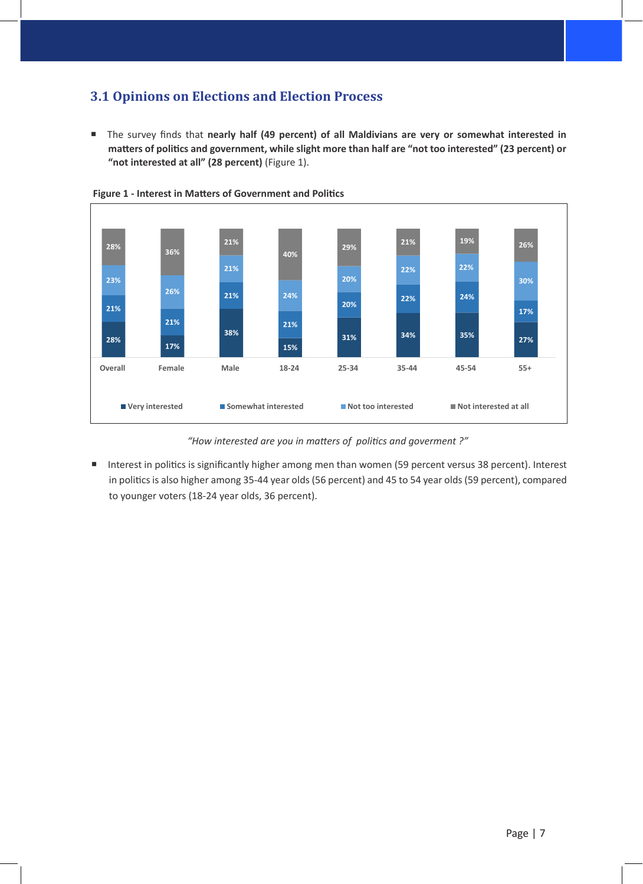### **3.1 Opinions on Elections and Election Process**

■ The survey finds that nearly half (49 percent) of all Maldivians are very or somewhat interested in **matters of politics and government, while slight more than half are "not too interested" (23 percent) or "not interested at all" (28 percent)** (Figure 1).



 **Figure 1 - Interest in Matters of Government and Politics**

*"How interested are you in matters of politics and goverment ?"*

■ Interest in politics is significantly higher among men than women (59 percent versus 38 percent). Interest in politics is also higher among 35-44 year olds (56 percent) and 45 to 54 year olds (59 percent), compared to younger voters (18-24 year olds, 36 percent).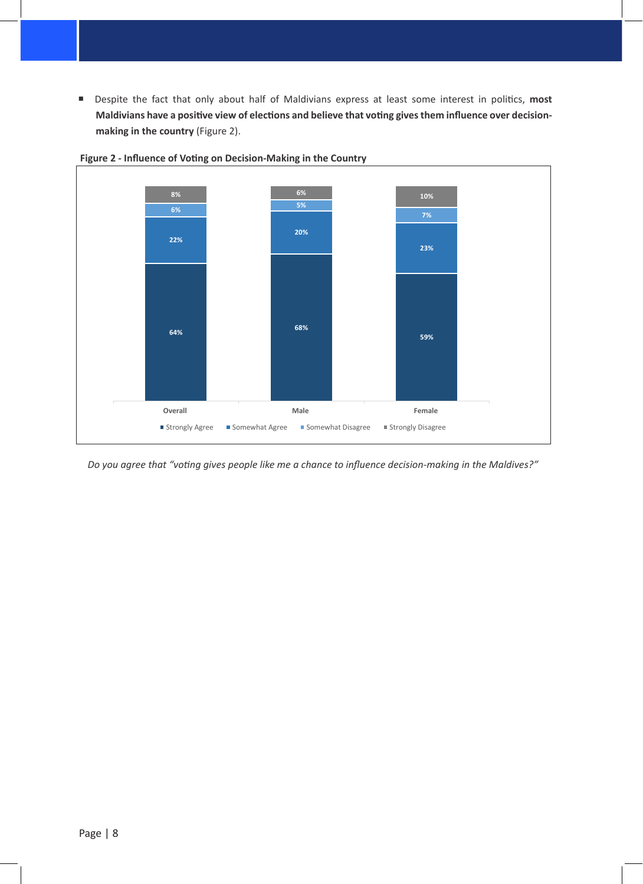■ Despite the fact that only about half of Maldivians express at least some interest in politics, most **Maldivians have a positive view of elections and believe that voting gives them influence over decisionmaking in the country** (Figure 2).



 **Figure 2 - Influence of Voting on Decision-Making in the Country**

*Do you agree that "voting gives people like me a chance to influence decision-making in the Maldives?"*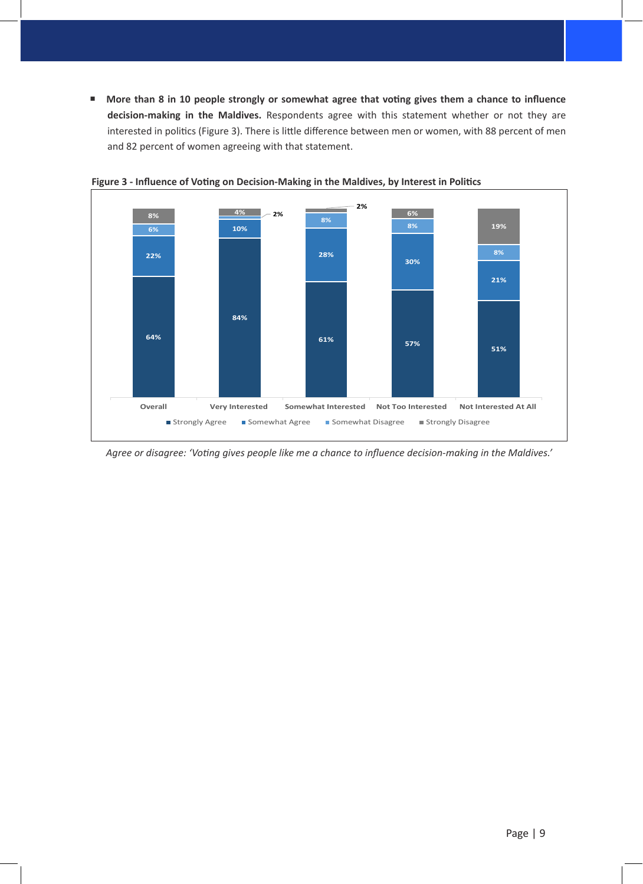■ More than 8 in 10 people strongly or somewhat agree that voting gives them a chance to influence **decision-making in the Maldives.** Respondents agree with this statement whether or not they are interested in politics (Figure 3). There is little difference between men or women, with 88 percent of men and 82 percent of women agreeing with that statement.



 **Figure 3 - Influence of Voting on Decision-Making in the Maldives, by Interest in Politics**

*Agree or disagree: 'Voting gives people like me a chance to influence decision-making in the Maldives.'*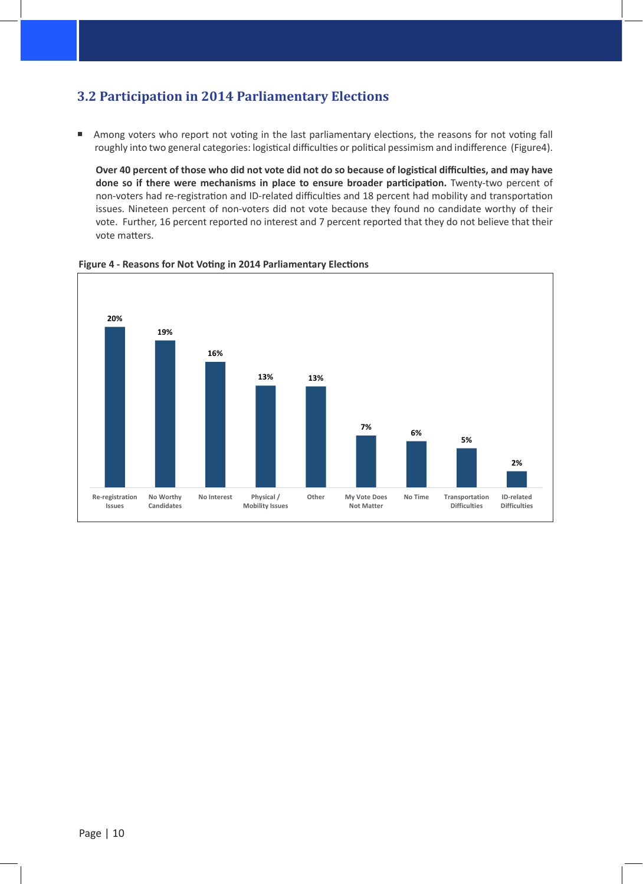#### **3.2 Participation in 2014 Parliamentary Elections**

Among voters who report not voting in the last parliamentary elections, the reasons for not voting fall roughly into two general categories: logistical difficulties or political pessimism and indifference (Figure4).

**Over 40 percent of those who did not vote did not do so because of logistical difficulties, and may have done so if there were mechanisms in place to ensure broader participation.** Twenty-two percent of non-voters had re-registration and ID-related difficulties and 18 percent had mobility and transportation issues. Nineteen percent of non-voters did not vote because they found no candidate worthy of their vote. Further, 16 percent reported no interest and 7 percent reported that they do not believe that their vote matters.



 **Figure 4 - Reasons for Not Voting in 2014 Parliamentary Elections**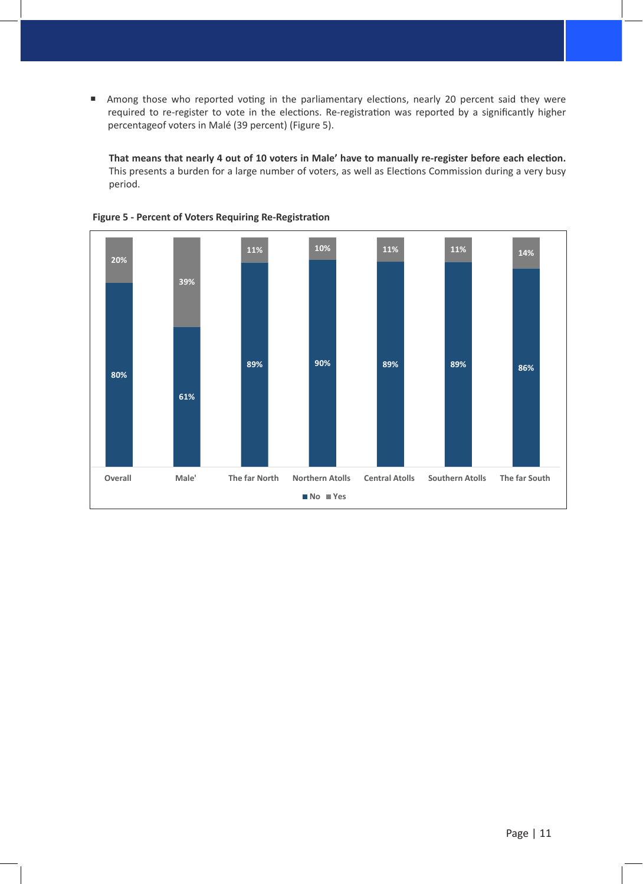Among those who reported voting in the parliamentary elections, nearly 20 percent said they were required to re-register to vote in the elections. Re-registration was reported by a significantly higher percentageof voters in Malé (39 percent) (Figure 5).

**That means that nearly 4 out of 10 voters in Male' have to manually re-register before each election.** This presents a burden for a large number of voters, as well as Elections Commission during a very busy period.



 **Figure 5 - Percent of Voters Requiring Re-Registration**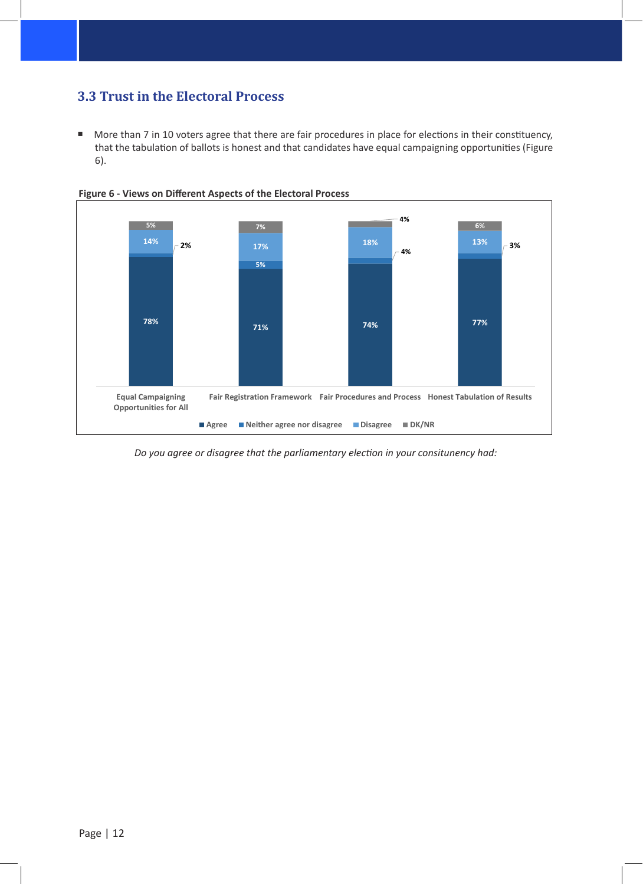### **3.3 Trust in the Electoral Process**

More than 7 in 10 voters agree that there are fair procedures in place for elections in their constituency, that the tabulation of ballots is honest and that candidates have equal campaigning opportunities (Figure 6).



 **Figure 6 - Views on Different Aspects of the Electoral Process**

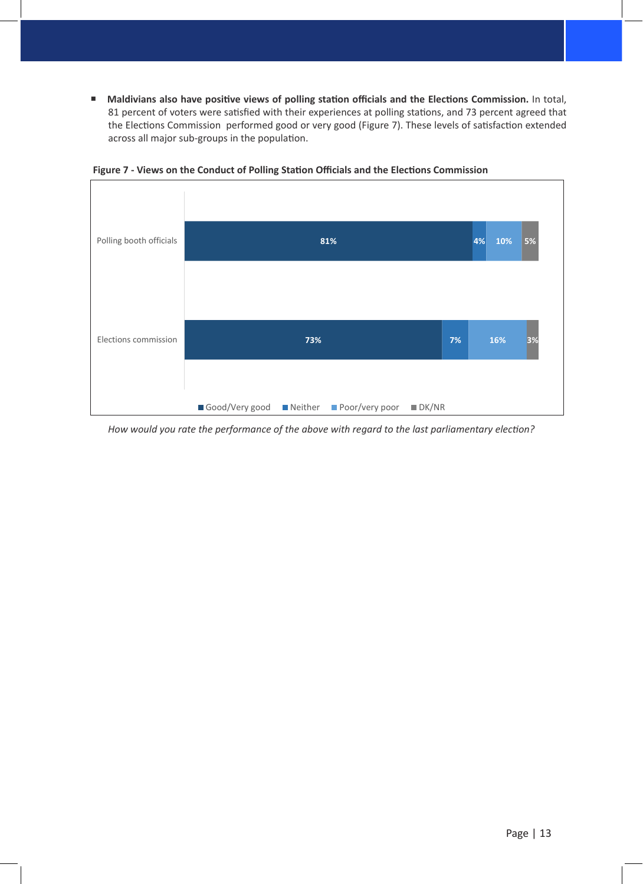**Maldivians also have positive views of polling station officials and the Elections Commission.** In total, 81 percent of voters were satisfied with their experiences at polling stations, and 73 percent agreed that the Elections Commission performed good or very good (Figure 7). These levels of satisfaction extended across all major sub-groups in the population.



 **Figure 7 - Views on the Conduct of Polling Station Officials and the Elections Commission** 

*How would you rate the performance of the above with regard to the last parliamentary election?*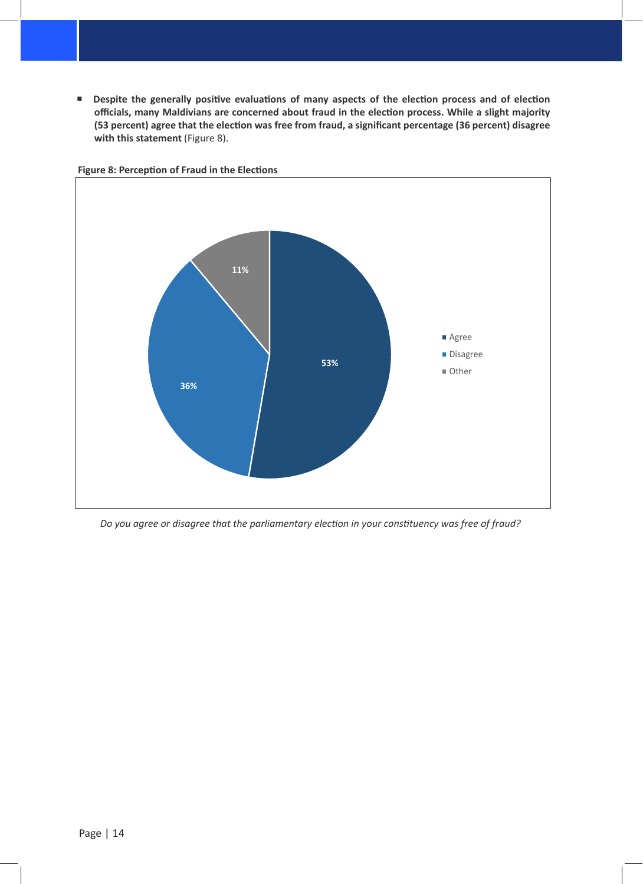**Despite the generally positive evaluations of many aspects of the election process and of election officials, many Maldivians are concerned about fraud in the election process. While a slight majority (53 percent) agree that the election was free from fraud, a significant percentage (36 percent) disagree with this statement** (Figure 8).



 **Figure 8: Perception of Fraud in the Elections**

*Do you agree or disagree that the parliamentary election in your constituency was free of fraud?*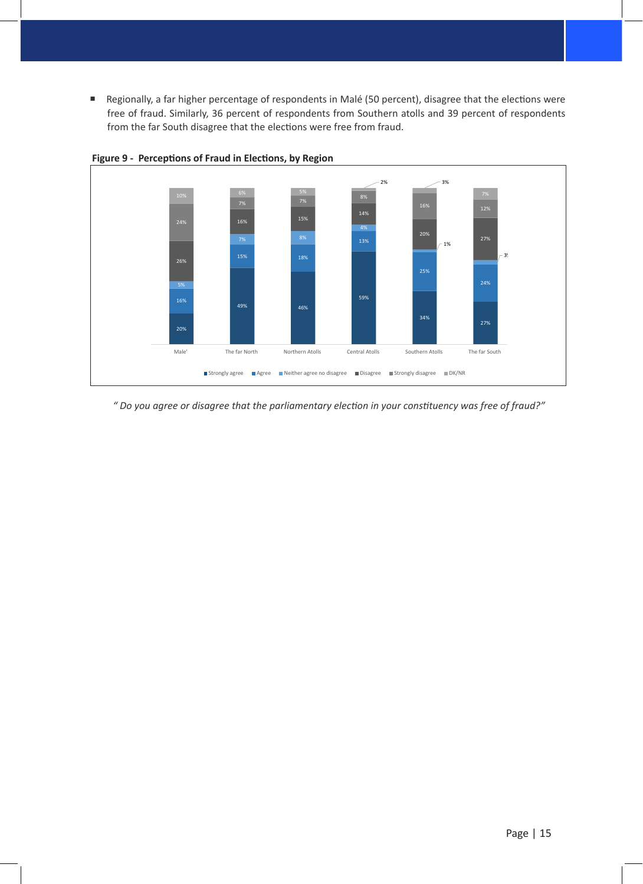■ Regionally, a far higher percentage of respondents in Malé (50 percent), disagree that the elections were free of fraud. Similarly, 36 percent of respondents from Southern atolls and 39 percent of respondents from the far South disagree that the elections were free from fraud.



 **Figure 9 - Perceptions of Fraud in Elections, by Region**

*" Do you agree or disagree that the parliamentary election in your constituency was free of fraud?"*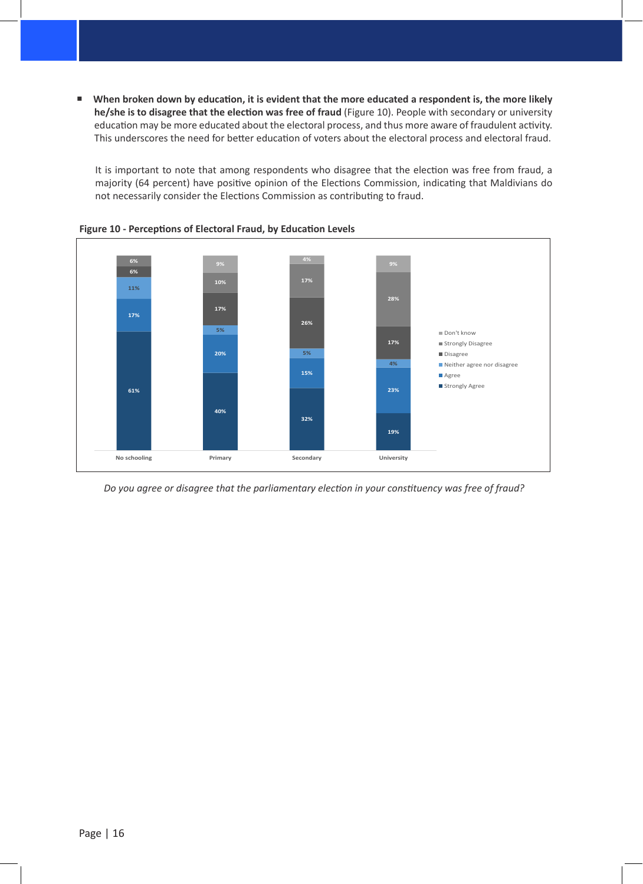■ When broken down by education, it is evident that the more educated a respondent is, the more likely **he/she is to disagree that the election was free of fraud** (Figure 10). People with secondary or university education may be more educated about the electoral process, and thus more aware of fraudulent activity. This underscores the need for better education of voters about the electoral process and electoral fraud.

It is important to note that among respondents who disagree that the election was free from fraud, a majority (64 percent) have positive opinion of the Elections Commission, indicating that Maldivians do not necessarily consider the Elections Commission as contributing to fraud.





*Do you agree or disagree that the parliamentary election in your constituency was free of fraud?*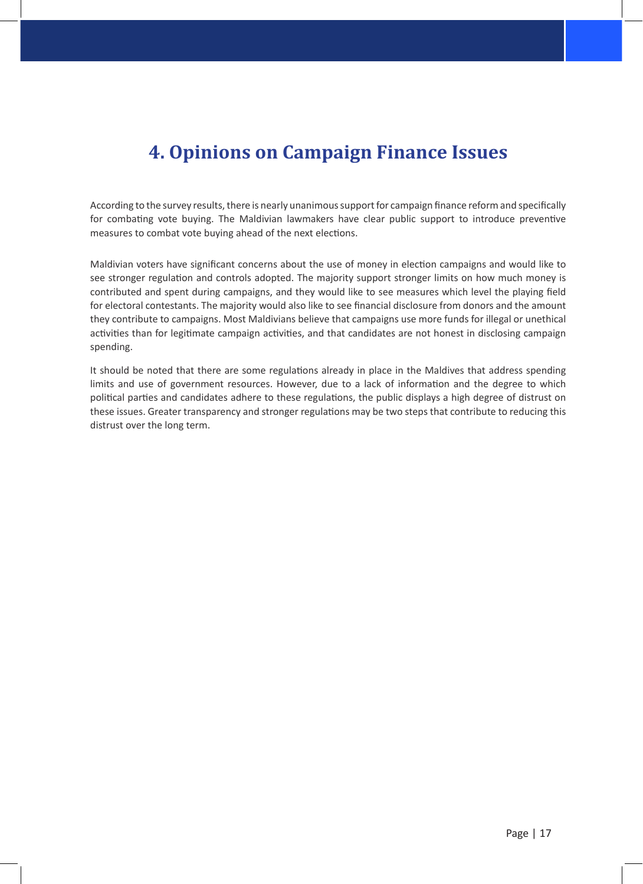## **4. Opinions on Campaign Finance Issues**

According to the survey results, there is nearly unanimous support for campaign finance reform and specifically for combating vote buying. The Maldivian lawmakers have clear public support to introduce preventive measures to combat vote buying ahead of the next elections.

Maldivian voters have significant concerns about the use of money in election campaigns and would like to see stronger regulation and controls adopted. The majority support stronger limits on how much money is contributed and spent during campaigns, and they would like to see measures which level the playing field for electoral contestants. The majority would also like to see financial disclosure from donors and the amount they contribute to campaigns. Most Maldivians believe that campaigns use more funds for illegal or unethical activities than for legitimate campaign activities, and that candidates are not honest in disclosing campaign spending.

It should be noted that there are some regulations already in place in the Maldives that address spending limits and use of government resources. However, due to a lack of information and the degree to which political parties and candidates adhere to these regulations, the public displays a high degree of distrust on these issues. Greater transparency and stronger regulations may be two steps that contribute to reducing this distrust over the long term.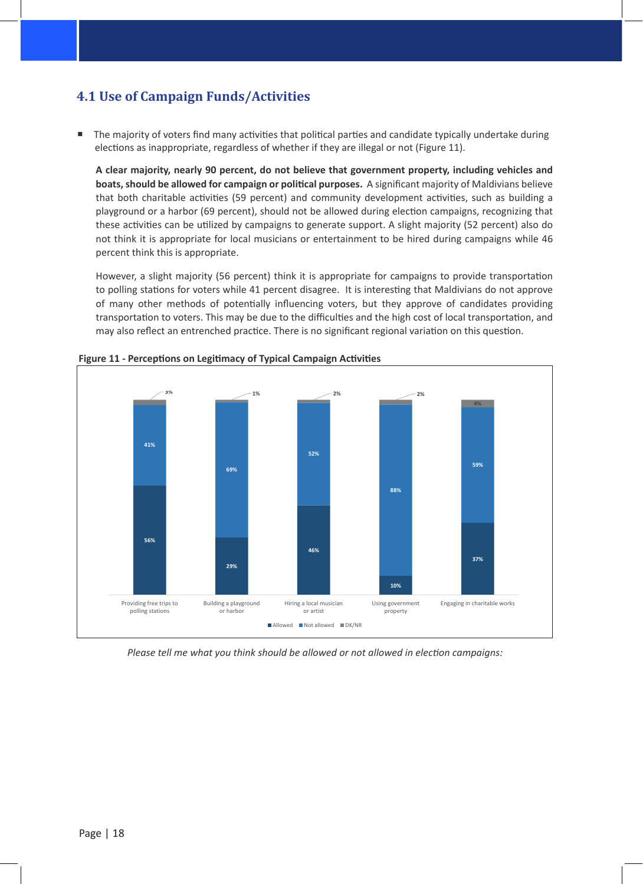#### **4.1 Use of Campaign Funds/Activities**

■ The majority of voters find many activities that political parties and candidate typically undertake during elections as inappropriate, regardless of whether if they are illegal or not (Figure 11).

**A clear majority, nearly 90 percent, do not believe that government property, including vehicles and boats, should be allowed for campaign or political purposes.** A significant majority of Maldivians believe that both charitable activities (59 percent) and community development activities, such as building a playground or a harbor (69 percent), should not be allowed during election campaigns, recognizing that these activities can be utilized by campaigns to generate support. A slight majority (52 percent) also do not think it is appropriate for local musicians or entertainment to be hired during campaigns while 46 percent think this is appropriate.

However, a slight majority (56 percent) think it is appropriate for campaigns to provide transportation to polling stations for voters while 41 percent disagree. It is interesting that Maldivians do not approve of many other methods of potentially influencing voters, but they approve of candidates providing transportation to voters. This may be due to the difficulties and the high cost of local transportation, and may also reflect an entrenched practice. There is no significant regional variation on this question.



 **Figure 11 - Perceptions on Legitimacy of Typical Campaign Activities**

*Please tell me what you think should be allowed or not allowed in election campaigns:*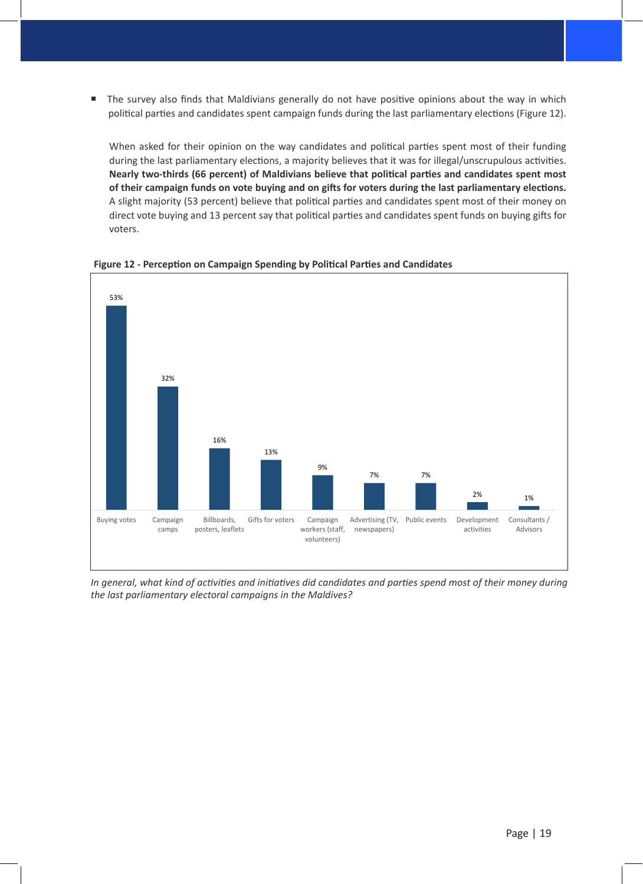The survey also finds that Maldivians generally do not have positive opinions about the way in which political parties and candidates spent campaign funds during the last parliamentary elections (Figure 12).

When asked for their opinion on the way candidates and political parties spent most of their funding during the last parliamentary elections, a majority believes that it was for illegal/unscrupulous activities. **Nearly two-thirds (66 percent) of Maldivians believe that political parties and candidates spent most of their campaign funds on vote buying and on gifts for voters during the last parliamentary elections.** A slight majority (53 percent) believe that political parties and candidates spent most of their money on direct vote buying and 13 percent say that political parties and candidates spent funds on buying gifts for voters.



 **Figure 12 - Perception on Campaign Spending by Political Parties and Candidates**

*In general, what kind of activities and initiatives did candidates and parties spend most of their money during the last parliamentary electoral campaigns in the Maldives?*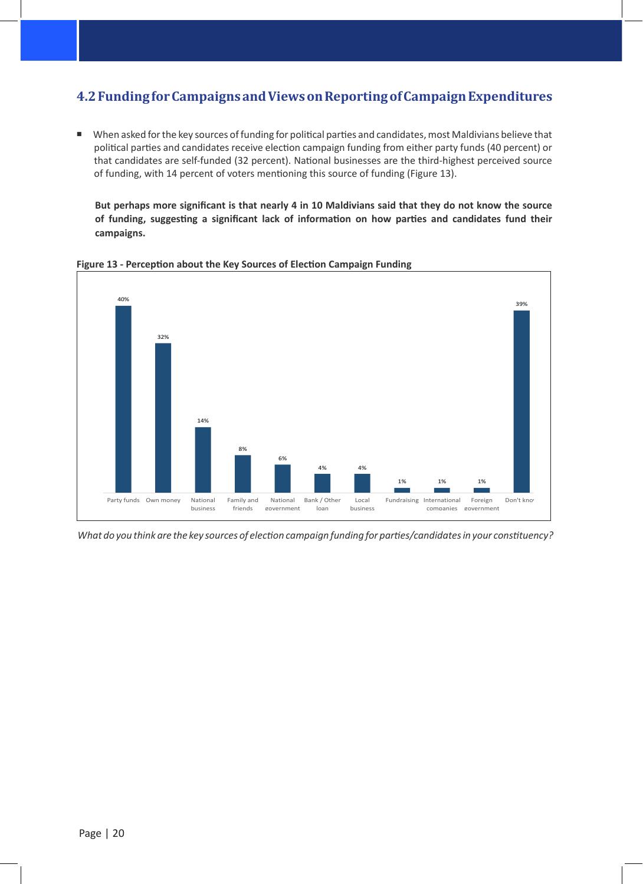#### **4.2 Funding for Campaigns and Views on Reporting of Campaign Expenditures**

 When asked for the key sources of funding for political parties and candidates, most Maldivians believe that political parties and candidates receive election campaign funding from either party funds (40 percent) or that candidates are self-funded (32 percent). National businesses are the third-highest perceived source of funding, with 14 percent of voters mentioning this source of funding (Figure 13).

**But perhaps more significant is that nearly 4 in 10 Maldivians said that they do not know the source of funding, suggesting a significant lack of information on how parties and candidates fund their campaigns.**



**Figure 13 - Perception about the Key Sources of Election Campaign Funding** 

*What do you think are the key sources of election campaign funding for parties/candidates in your constituency?*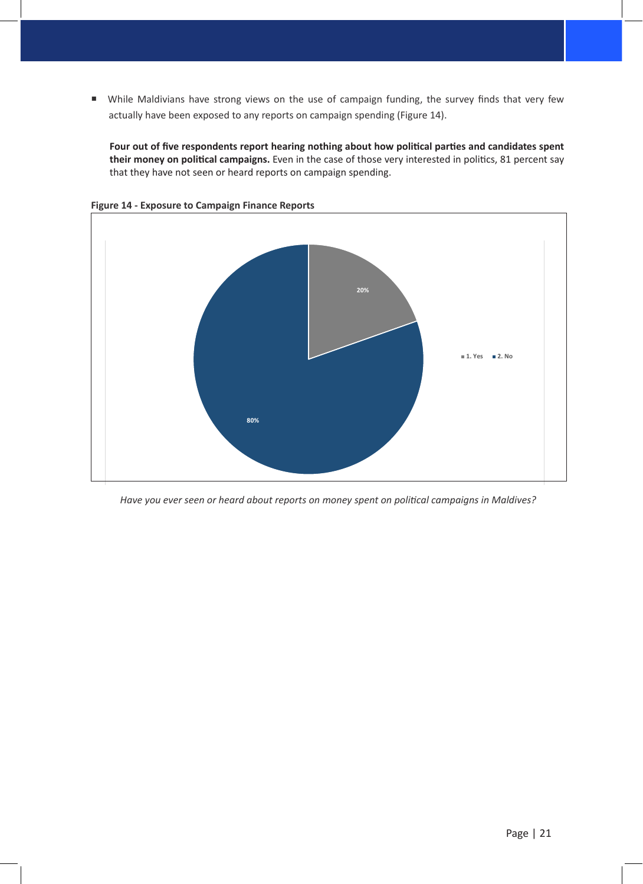While Maldivians have strong views on the use of campaign funding, the survey finds that very few actually have been exposed to any reports on campaign spending (Figure 14).

**Four out of five respondents report hearing nothing about how political parties and candidates spent their money on political campaigns.** Even in the case of those very interested in politics, 81 percent say that they have not seen or heard reports on campaign spending.



**Figure 14 - Exposure to Campaign Finance Reports**

*Have you ever seen or heard about reports on money spent on political campaigns in Maldives?*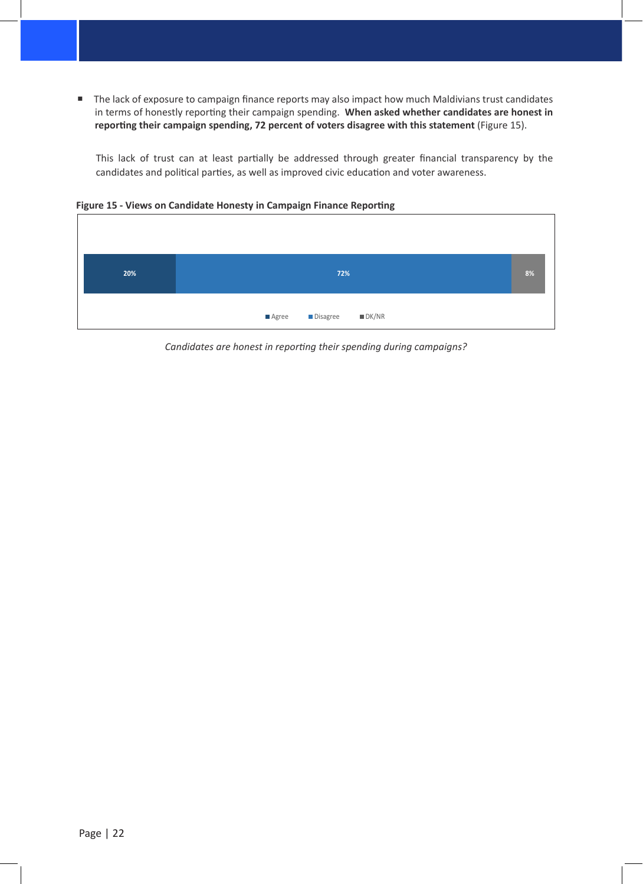The lack of exposure to campaign finance reports may also impact how much Maldivians trust candidates in terms of honestly reporting their campaign spending. **When asked whether candidates are honest in reporting their campaign spending, 72 percent of voters disagree with this statement** (Figure 15).

This lack of trust can at least partially be addressed through greater financial transparency by the candidates and political parties, as well as improved civic education and voter awareness.

**Figure 15 - Views on Candidate Honesty in Campaign Finance Reporting**



*Candidates are honest in reporting their spending during campaigns?*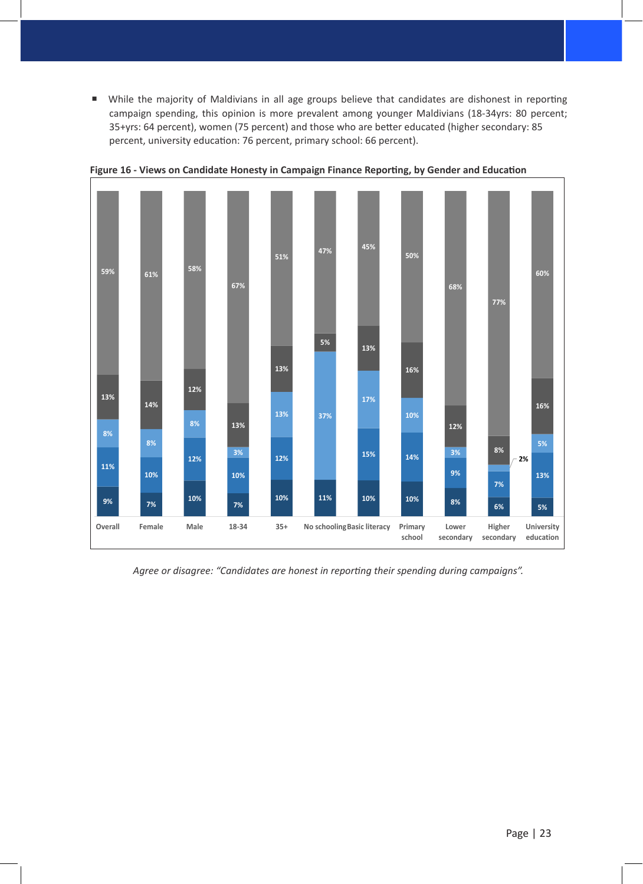While the majority of Maldivians in all age groups believe that candidates are dishonest in reporting campaign spending, this opinion is more prevalent among younger Maldivians (18-34yrs: 80 percent; 35+yrs: 64 percent), women (75 percent) and those who are better educated (higher secondary: 85 percent, university education: 76 percent, primary school: 66 percent).



**Figure 16 - Views on Candidate Honesty in Campaign Finance Reporting, by Gender and Education**

*Agree or disagree: "Candidates are honest in reporting their spending during campaigns".*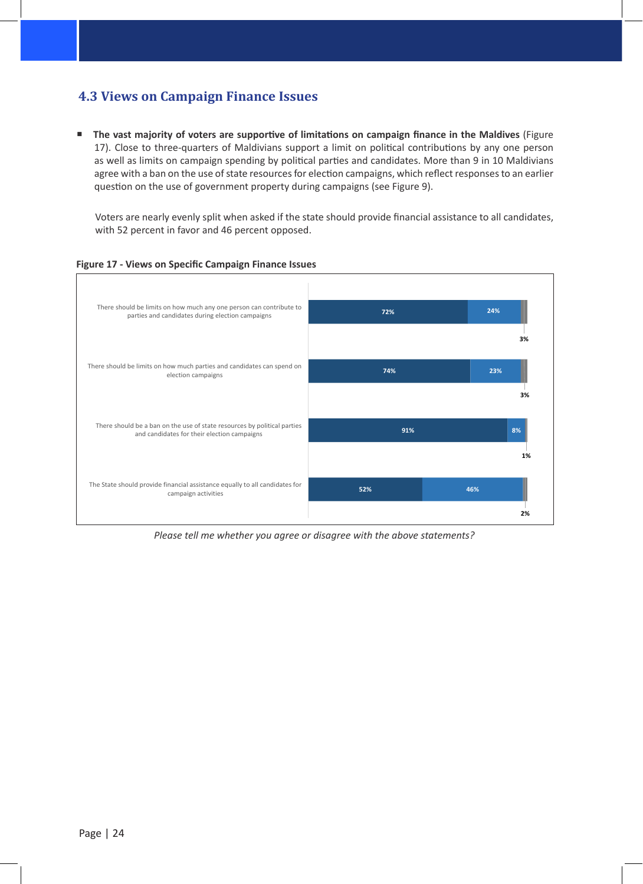#### **4.3 Views on Campaign Finance Issues**

**The vast majority of voters are supportive of limitations on campaign finance in the Maldives (Figure** 17). Close to three-quarters of Maldivians support a limit on political contributions by any one person as well as limits on campaign spending by political parties and candidates. More than 9 in 10 Maldivians agree with a ban on the use of state resources for election campaigns, which reflect responses to an earlier question on the use of government property during campaigns (see Figure 9).

Voters are nearly evenly split when asked if the state should provide financial assistance to all candidates, with 52 percent in favor and 46 percent opposed.



**Figure 17 - Views on Specific Campaign Finance Issues**

*Please tell me whether you agree or disagree with the above statements?*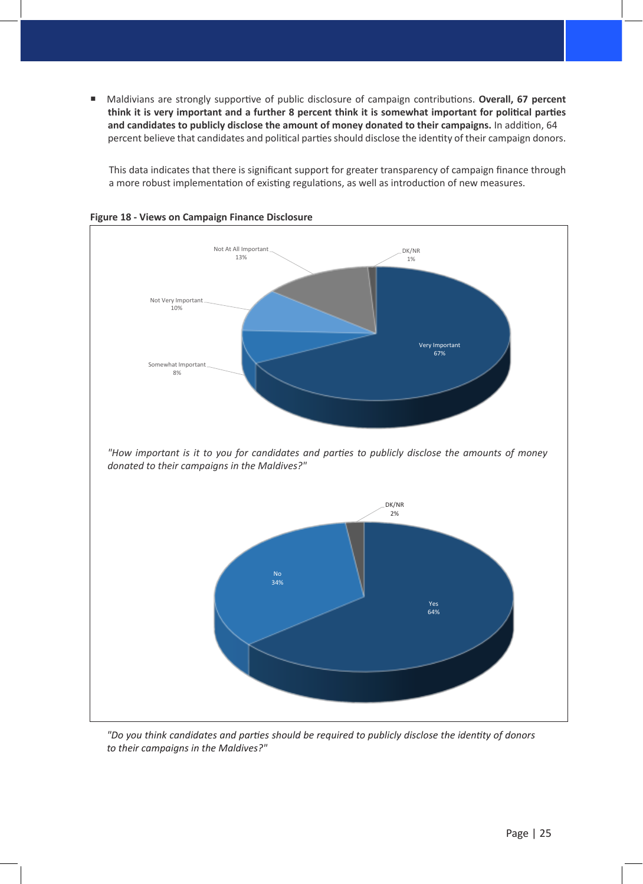■ Maldivians are strongly supportive of public disclosure of campaign contributions. Overall, 67 percent **think it is very important and a further 8 percent think it is somewhat important for political parties and candidates to publicly disclose the amount of money donated to their campaigns.** In addition, 64 percent believe that candidates and political parties should disclose the identity of their campaign donors.

This data indicates that there is significant support for greater transparency of campaign finance through a more robust implementation of existing regulations, as well as introduction of new measures.





*"Do you think candidates and parties should be required to publicly disclose the identity of donors to their campaigns in the Maldives?"*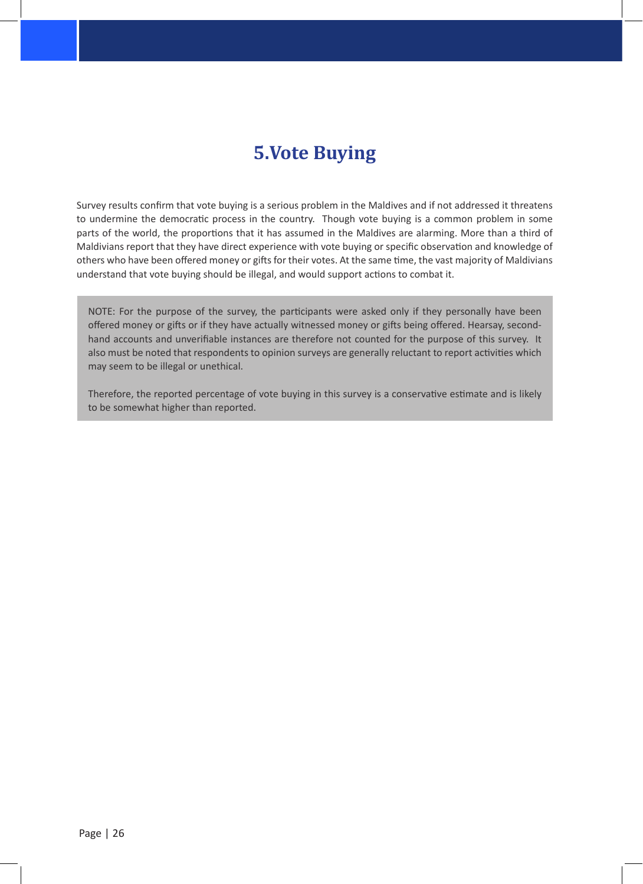## **5.Vote Buying**

Survey results confirm that vote buying is a serious problem in the Maldives and if not addressed it threatens to undermine the democratic process in the country. Though vote buying is a common problem in some parts of the world, the proportions that it has assumed in the Maldives are alarming. More than a third of Maldivians report that they have direct experience with vote buying or specific observation and knowledge of others who have been offered money or gifts for their votes. At the same time, the vast majority of Maldivians understand that vote buying should be illegal, and would support actions to combat it.

NOTE: For the purpose of the survey, the participants were asked only if they personally have been offered money or gifts or if they have actually witnessed money or gifts being offered. Hearsay, secondhand accounts and unverifiable instances are therefore not counted for the purpose of this survey. It also must be noted that respondents to opinion surveys are generally reluctant to report activities which may seem to be illegal or unethical.

Therefore, the reported percentage of vote buying in this survey is a conservative estimate and is likely to be somewhat higher than reported.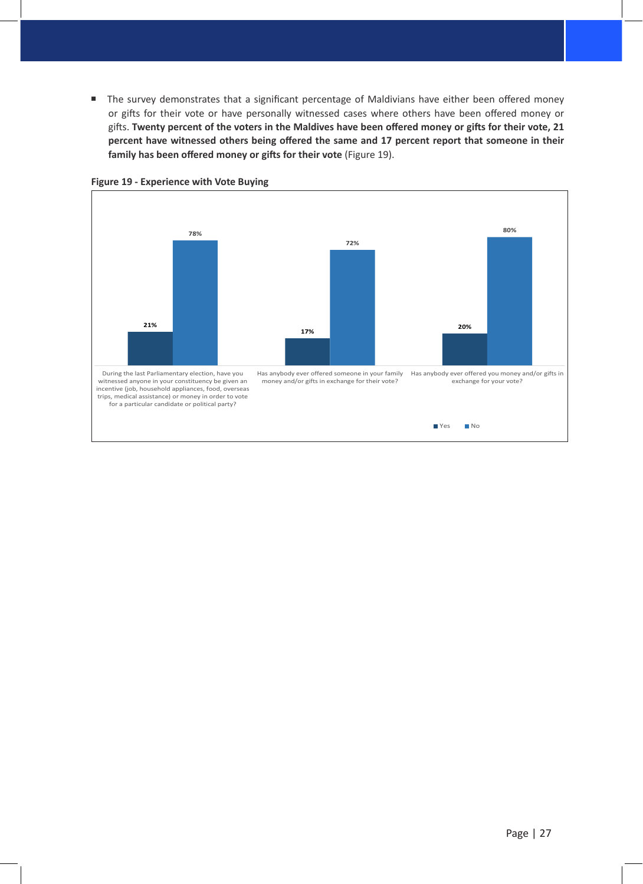The survey demonstrates that a significant percentage of Maldivians have either been offered money or gifts for their vote or have personally witnessed cases where others have been offered money or gifts. **Twenty percent of the voters in the Maldives have been offered money or gifts for their vote, 21 percent have witnessed others being offered the same and 17 percent report that someone in their family has been offered money or gifts for their vote** (Figure 19).



**Figure 19 - Experience with Vote Buying**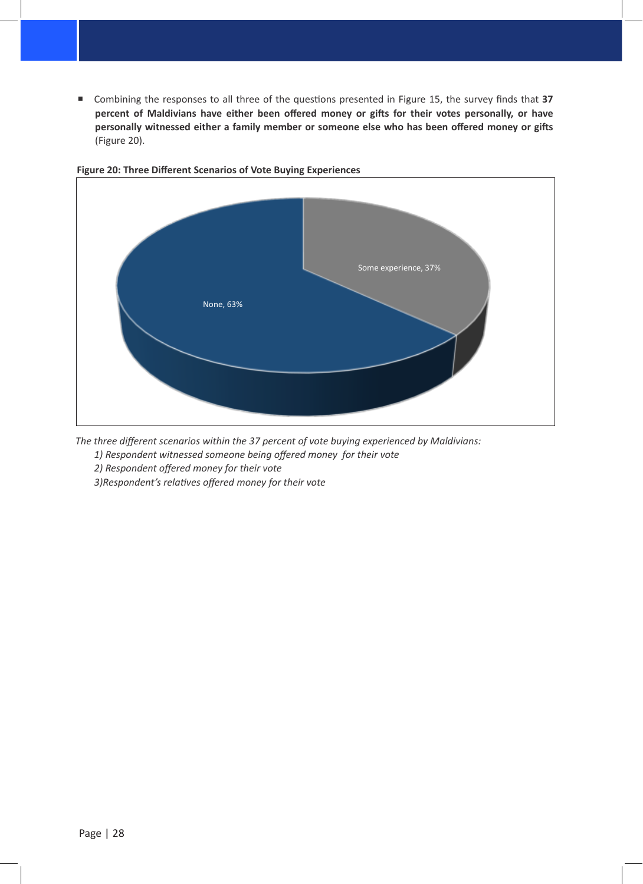■ Combining the responses to all three of the questions presented in Figure 15, the survey finds that 37 **percent of Maldivians have either been offered money or gifts for their votes personally, or have personally witnessed either a family member or someone else who has been offered money or gifts**  (Figure 20).



#### **Figure 20: Three Different Scenarios of Vote Buying Experiences**

*The three different scenarios within the 37 percent of vote buying experienced by Maldivians:*

*1) Respondent witnessed someone being offered money for their vote* 

*2) Respondent offered money for their vote* 

*3)Respondent's relatives offered money for their vote*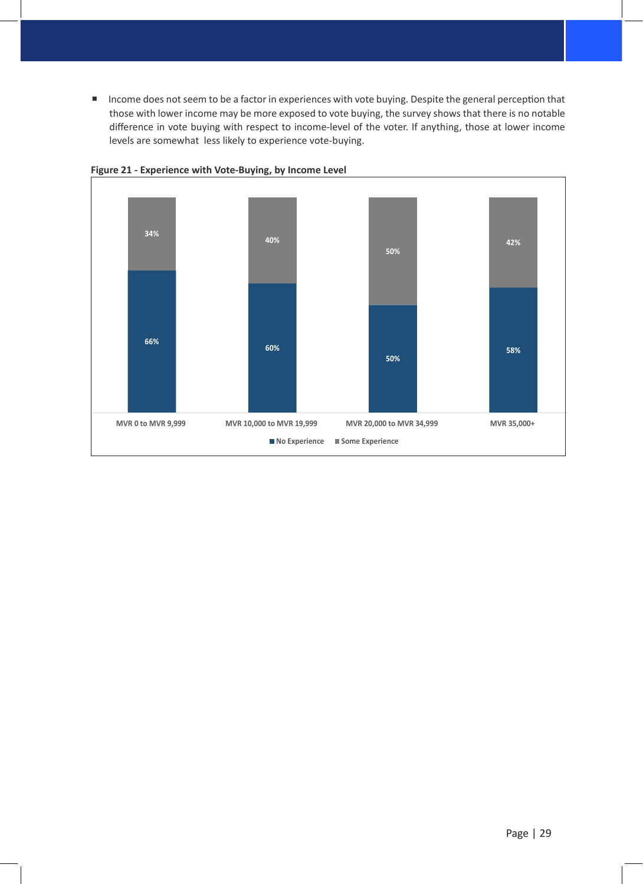**Income does not seem to be a factor in experiences with vote buying. Despite the general perception that** those with lower income may be more exposed to vote buying, the survey shows that there is no notable difference in vote buying with respect to income-level of the voter. If anything, those at lower income levels are somewhat less likely to experience vote-buying.



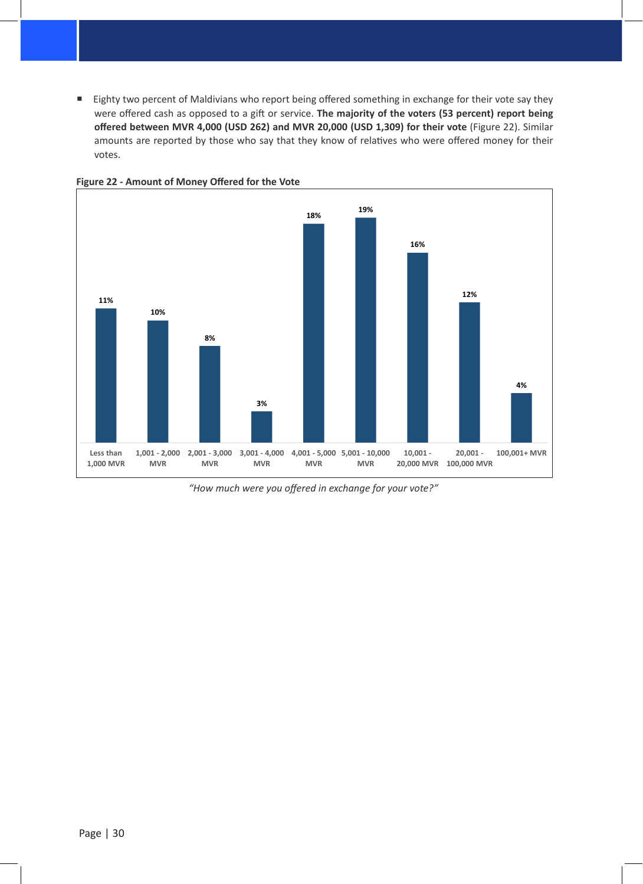Eighty two percent of Maldivians who report being offered something in exchange for their vote say they were offered cash as opposed to a gift or service. **The majority of the voters (53 percent) report being offered between MVR 4,000 (USD 262) and MVR 20,000 (USD 1,309) for their vote** (Figure 22). Similar amounts are reported by those who say that they know of relatives who were offered money for their votes.



**Figure 22 - Amount of Money Offered for the Vote**

*"How much were you offered in exchange for your vote?"*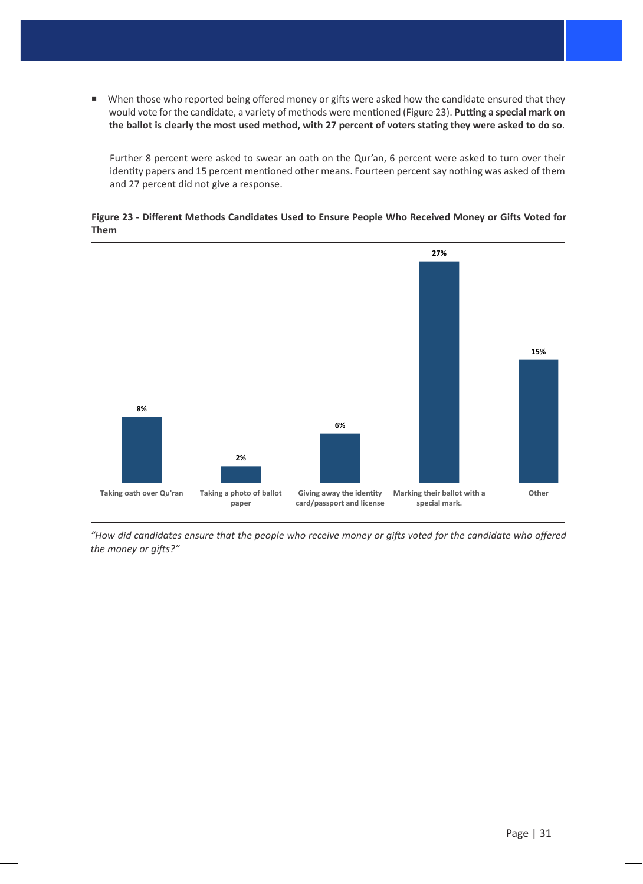■ When those who reported being offered money or gifts were asked how the candidate ensured that they would vote for the candidate, a variety of methods were mentioned (Figure 23). **Putting a special mark on the ballot is clearly the most used method, with 27 percent of voters stating they were asked to do so**.

Further 8 percent were asked to swear an oath on the Qur'an, 6 percent were asked to turn over their identity papers and 15 percent mentioned other means. Fourteen percent say nothing was asked of them and 27 percent did not give a response.

**Figure 23 - Different Methods Candidates Used to Ensure People Who Received Money or Gifts Voted for Them**



*"How did candidates ensure that the people who receive money or gifts voted for the candidate who offered the money or gifts?"*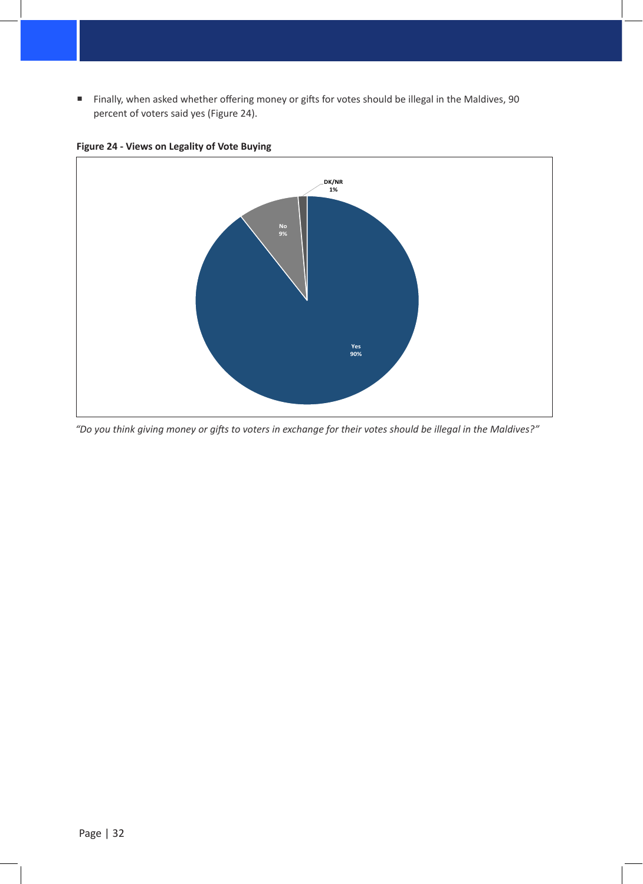Finally, when asked whether offering money or gifts for votes should be illegal in the Maldives, 90 percent of voters said yes (Figure 24).



**Figure 24 - Views on Legality of Vote Buying** 

*"Do you think giving money or gifts to voters in exchange for their votes should be illegal in the Maldives?"*